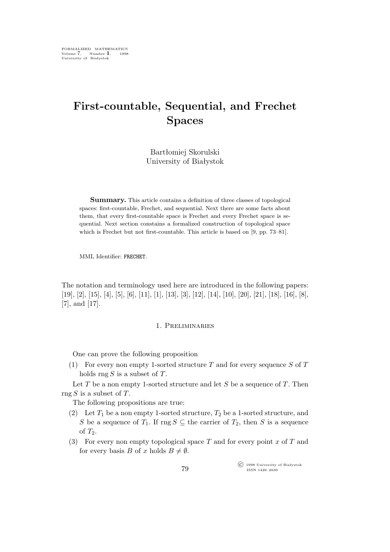# **First-countable, Sequential, and Frechet Spaces**

Bartłomiej Skorulski University of Białystok

**Summary.** This article contains a definition of three classes of topological spaces: first-countable, Frechet, and sequential. Next there are some facts about them, that every first-countable space is Frechet and every Frechet space is sequential. Next section constains a formalized construction of topological space which is Frechet but not first-countable. This article is based on [9, pp. 73–81].

MML Identifier: FRECHET.

The notation and terminology used here are introduced in the following papers:  $[19], [2], [15], [4], [5], [6], [11], [13], [3], [12], [14], [10], [20], [21], [18], [16], [8],$ [7], and [17].

## 1. Preliminaries

One can prove the following proposition

(1) For every non empty 1-sorted structure  $T$  and for every sequence  $S$  of  $T$ holds rng  $S$  is a subset of  $T$ .

Let  $T$  be a non empty 1-sorted structure and let  $S$  be a sequence of  $T$ . Then  $\text{rng } S$  is a subset of T.

The following propositions are true:

- (2) Let  $T_1$  be a non empty 1-sorted structure,  $T_2$  be a 1-sorted structure, and S be a sequence of  $T_1$ . If rng  $S \subseteq$  the carrier of  $T_2$ , then S is a sequence of  $T_2$ .
- (3) For every non empty topological space T and for every point x of T and for every basis B of x holds  $B \neq \emptyset$ .

°c 1998 University of Białystok ISSN 1426–2630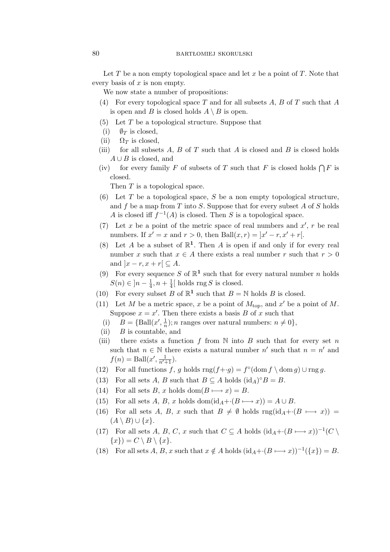### 80 bartłomiej skorulski

Let T be a non empty topological space and let x be a point of T. Note that every basis of  $x$  is non empty.

We now state a number of propositions:

- (4) For every topological space T and for all subsets A, B of T such that A is open and B is closed holds  $A \setminus B$  is open.
- $(5)$  Let T be a topological structure. Suppose that
- (i)  $\mathcal{O}_T$  is closed,
- (ii)  $\Omega_T$  is closed.
- (iii) for all subsets  $A, B$  of  $T$  such that  $A$  is closed and  $B$  is closed holds A *∪* B is closed, and
- (iv) for every family F of subsets of T such that F is closed holds  $\bigcap F$  is closed.

Then T is a topological space.

- (6) Let T be a topological space, S be a non empty topological structure, and f be a map from T into S. Suppose that for every subset A of S holds A is closed iff  $f^{-1}(A)$  is closed. Then S is a topological space.
- (7) Let x be a point of the metric space of real numbers and  $x'$ , r be real numbers. If  $x' = x$  and  $r > 0$ , then Ball $(x, r) = |x' - r, x' + r|$ .
- (8) Let A be a subset of  $\mathbb{R}^1$ . Then A is open if and only if for every real number x such that  $x \in A$  there exists a real number r such that  $r > 0$ and  $|x - r, x + r| \subseteq A$ .
- (9) For every sequence S of  $\mathbb{R}^1$  such that for every natural number n holds  $S(n) \in ]n - \frac{1}{4}$  $\frac{1}{4}$ ,  $n + \frac{1}{4}$  $\frac{1}{4}$  [ holds rng S is closed.
- (10) For every subset B of  $\mathbb{R}^1$  such that  $B = \mathbb{N}$  holds B is closed.
- (11) Let M be a metric space, x be a point of  $M_{\text{top}}$ , and  $x'$  be a point of M. Suppose  $x = x'$ . Then there exists a basis B of x such that
	- (i)  $B = {\text{Ball}(x', \frac{1}{n})}$ ; *n* ranges over natural numbers:  $n \neq 0$ ,
- $(ii)$  B is countable, and
- (iii) there exists a function f from  $\mathbb N$  into  $B$  such that for every set n such that  $n \in \mathbb{N}$  there exists a natural number  $n'$  such that  $n = n'$  and  $f(n) = \text{Ball}(x', \frac{1}{n'+1}).$
- (12) For all functions  $f, g$  holds  $\text{rng}(f+g) = f^{\circ}(\text{dom } f \setminus \text{dom } g) \cup \text{rng } g$ .
- (13) For all sets A, B such that  $B \subseteq A$  holds  $(id_A)^{\circ}B = B$ .
- (14) For all sets B, x holds  $dom(B \rightarrow x) = B$ .
- (15) For all sets A, B, x holds dom(id<sub>A</sub>+· $(B \rightarrow x)$ ) = A  $\cup$  B.
- (16) For all sets A, B, x such that  $B \neq \emptyset$  holds  $\text{rng}(\text{id}_A + (B \mapsto x)) =$  $(A \setminus B) ∪ \{x\}.$
- (17) For all sets A, B, C, x such that  $C \subseteq A$  holds  $(id_A + (B \rightarrow x))^{-1}(C \setminus A)$  $\{x\}$ *)* = *C* \ *B* \  $\{x\}$ .
- (18) For all sets  $A, B, x$  such that  $x \notin A$  holds  $(id_A + (B \mapsto x))^{-1}(\lbrace x \rbrace) = B$ .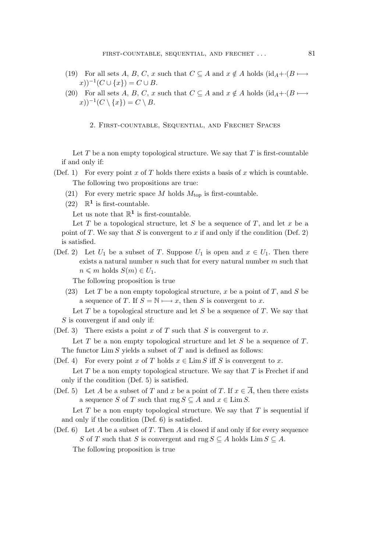- (19) For all sets A, B, C, x such that  $C \subseteq A$  and  $x \notin A$  holds  $(id_A + (B \mapsto A \setminus B))$  $(x))^{-1}(C \cup \{x\}) = C \cup B.$
- (20) For all sets A, B, C, x such that  $C \subseteq A$  and  $x \notin A$  holds (id<sub>A</sub>+*·*( $B \longmapsto$  $(x))^{-1}(C \setminus \{x\}) = C \setminus B.$

2. First-countable, Sequential, and Frechet Spaces

Let  $T$  be a non empty topological structure. We say that  $T$  is first-countable if and only if:

- (Def. 1) For every point x of T holds there exists a basis of x which is countable. The following two propositions are true:
	- (21) For every metric space M holds  $M_{\text{top}}$  is first-countable.
	- (22)  $\mathbb{R}^1$  is first-countable.

Let us note that  $\mathbb{R}^1$  is first-countable.

Let T be a topological structure, let S be a sequence of T, and let x be a point of  $T$ . We say that  $S$  is convergent to  $x$  if and only if the condition (Def. 2) is satisfied.

(Def. 2) Let  $U_1$  be a subset of T. Suppose  $U_1$  is open and  $x \in U_1$ . Then there exists a natural number  $n$  such that for every natural number  $m$  such that  $n \leq m$  holds  $S(m) \in U_1$ .

The following proposition is true

(23) Let T be a non empty topological structure, x be a point of T, and S be a sequence of T. If  $S = N \rightarrow x$ , then S is convergent to x.

Let  $T$  be a topological structure and let  $S$  be a sequence of  $T$ . We say that  $S$  is convergent if and only if:

(Def. 3) There exists a point x of T such that S is convergent to x.

Let T be a non empty topological structure and let S be a sequence of  $T$ . The functor  $\lim S$  yields a subset of T and is defined as follows:

(Def. 4) For every point x of T holds  $x \in \text{Lim } S$  iff S is convergent to x.

Let  $T$  be a non empty topological structure. We say that  $T$  is Frechet if and only if the condition (Def. 5) is satisfied.

(Def. 5) Let A be a subset of T and x be a point of T. If  $x \in \overline{A}$ , then there exists a sequence S of T such that rng  $S \subseteq A$  and  $x \in \text{Lim } S$ .

Let T be a non empty topological structure. We say that  $T$  is sequential if and only if the condition (Def. 6) is satisfied.

(Def. 6) Let A be a subset of T. Then A is closed if and only if for every sequence S of T such that S is convergent and  $\text{rng } S \subseteq A$  holds  $\text{Lim } S \subseteq A$ . The following proposition is true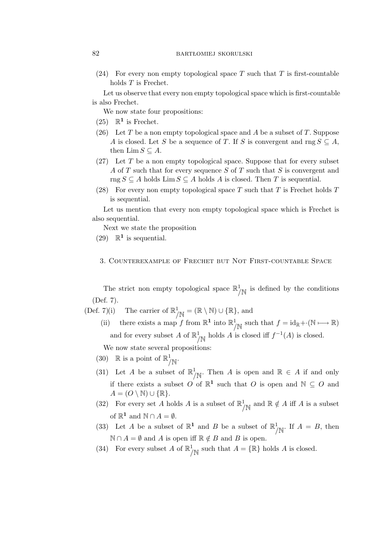(24) For every non empty topological space T such that T is first-countable holds T is Frechet.

Let us observe that every non empty topological space which is first-countable is also Frechet.

We now state four propositions:

- (25)  $\mathbb{R}^1$  is Frechet.
- (26) Let T be a non empty topological space and A be a subset of T. Suppose A is closed. Let S be a sequence of T. If S is convergent and rng  $S \subseteq A$ , then  $\lim S \subseteq A$ .
- $(27)$  Let T be a non empty topological space. Suppose that for every subset A of T such that for every sequence S of T such that S is convergent and rng  $S \subseteq A$  holds Lim  $S \subseteq A$  holds A is closed. Then T is sequential.
- (28) For every non empty topological space T such that T is Frechet holds  $T$ is sequential.

Let us mention that every non empty topological space which is Frechet is also sequential.

Next we state the proposition

(29)  $\mathbb{R}^1$  is sequential.

# 3. Counterexample of Frechet but Not First-countable Space

The strict non empty topological space  $\mathbb{R}^1_{/\mathbb{N}}$  is defined by the conditions (Def. 7).

(Def. 7)(i) The carrier of  $\mathbb{R}^1_{/\mathbb{N}} = (\mathbb{R} \setminus \mathbb{N}) \cup \{\mathbb{R}\},\$  and

(ii) there exists a map f from  $\mathbb{R}^1$  into  $\mathbb{R}^1_{/N}$  such that  $f = id_{\mathbb{R}} + \cdot (\mathbb{N} \mapsto \mathbb{R})$ and for every subset A of  $\mathbb{R}^1_{/\mathbb{N}}$  holds A is closed iff  $f^{-1}(A)$  is closed.

We now state several propositions:

- (30) R is a point of  $\mathbb{R}^1_{/\mathbb{N}}$ .
- (31) Let A be a subset of  $\mathbb{R}^1_{\bigwedge N}$ . Then A is open and  $\mathbb{R} \in A$  if and only if there exists a subset  $O'$  of  $\mathbb{R}^1$  such that O is open and  $\mathbb{N} \subseteq O$  and  $A = (O \setminus \mathbb{N}) \cup \{\mathbb{R}\}.$
- (32) For every set A holds A is a subset of  $\mathbb{R}^1_{\bigwedge}$  and  $\mathbb{R} \notin A$  iff A is a subset of  $\mathbb{R}^1$  and  $\mathbb{N} \cap A = \emptyset$ .
- (33) Let A be a subset of  $\mathbb{R}^1$  and B be a subset of  $\mathbb{R}^1_{\bigwedge}$ . If  $A = B$ , then  $N ∩ A = ∅$  and A is open iff  $ℝ \notin B$  and B is open.
- (34) For every subset A of  $\mathbb{R}^1_{/\mathbb{N}}$  such that  $A = \{\mathbb{R}\}\$  holds A is closed.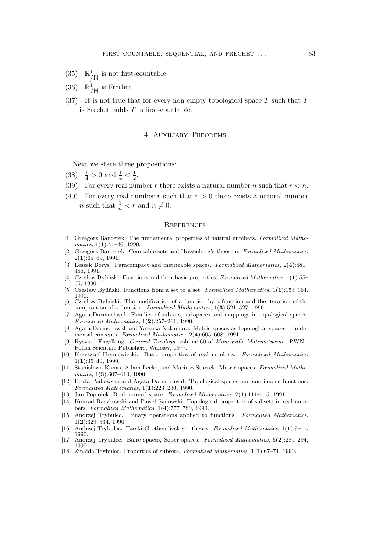- (35)  $\mathbb{R}^1_{/\mathbb{N}}$  is not first-countable.
- (36)  $\mathbb{R}^1_{/\mathbb{N}}$  is Frechet.
- $(37)$  It is not true that for every non empty topological space T such that T is Frechet holds  $T$  is first-countable.

#### 4. Auxiliary Theorems

Next we state three propositions:

- (38)  $\frac{1}{4} > 0$  and  $\frac{1}{4} < \frac{1}{2}$  $\frac{1}{2}$ .
- (39) For every real number r there exists a natural number n such that  $r < n$ .
- (40) For every real number r such that  $r > 0$  there exists a natural number *n* such that  $\frac{1}{n} < r$  and  $n \neq 0$ .

#### **REFERENCES**

- [1] Grzegorz Bancerek. The fundamental properties of natural numbers. *Formalized Mathematics*, 1(**1**):41–46, 1990.
- [2] Grzegorz Bancerek. Countable sets and Hessenberg's theorem. *Formalized Mathematics*, 2(**1**):65–69, 1991.
- [3] Leszek Borys. Paracompact and metrizable spaces. *Formalized Mathematics*, 2(**4**):481– 485, 1991.
- [4] Czesław Byliński. Functions and their basic properties. *Formalized Mathematics*, 1(**1**):55– 65, 1990.
- [5] Czesław Byliński. Functions from a set to a set. *Formalized Mathematics*, 1(**1**):153–164, 1990.
- [6] Czesław Byliński. The modification of a function by a function and the iteration of the composition of a function. *Formalized Mathematics*, 1(**3**):521–527, 1990.
- [7] Agata Darmochwał. Families of subsets, subspaces and mappings in topological spaces. *Formalized Mathematics*, 1(**2**):257–261, 1990.
- [8] Agata Darmochwał and Yatsuka Nakamura. Metric spaces as topological spaces fundamental concepts. *Formalized Mathematics*, 2(**4**):605–608, 1991.
- [9] Ryszard Engelking. *General Topology*, volume 60 of *Monografie Matematyczne*. PWN Polish Scientific Publishers, Warsaw, 1977.
- [10] Krzysztof Hryniewiecki. Basic properties of real numbers. *Formalized Mathematics*, 1(**1**):35–40, 1990.
- [11] Stanisława Kanas, Adam Lecko, and Mariusz Startek. Metric spaces. *Formalized Mathematics*, 1(**3**):607–610, 1990.
- [12] Beata Padlewska and Agata Darmochwał. Topological spaces and continuous functions. *Formalized Mathematics*, 1(**1**):223–230, 1990.
- [13] Jan Popiołek. Real normed space. *Formalized Mathematics*, 2(**1**):111–115, 1991.
- [14] Konrad Raczkowski and Paweł Sadowski. Topological properties of subsets in real numbers. *Formalized Mathematics*, 1(**4**):777–780, 1990.
- [15] Andrzej Trybulec. Binary operations applied to functions. *Formalized Mathematics*, 1(**2**):329–334, 1990.
- [16] Andrzej Trybulec. Tarski Grothendieck set theory. *Formalized Mathematics*, 1(**1**):9–11, 1990.
- [17] Andrzej Trybulec. Baire spaces, Sober spaces. *Formalized Mathematics*, 6(**2**):289–294, 1997.
- [18] Zinaida Trybulec. Properties of subsets. *Formalized Mathematics*, 1(**1**):67–71, 1990.